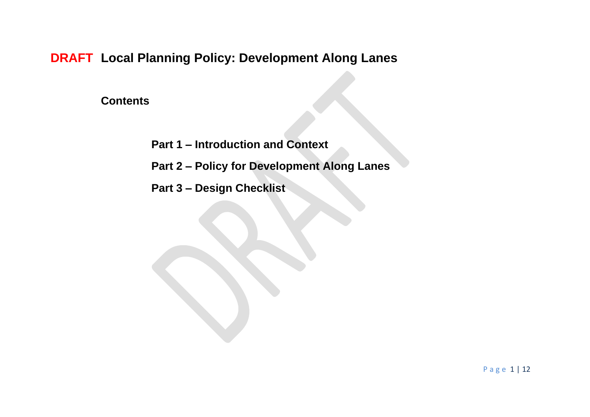**DRAFT Local Planning Policy: Development Along Lanes**

**Contents**

- **Part 1 – Introduction and Context**
- **Part 2 – Policy for Development Along Lanes**
- **Part 3 – Design Checklist**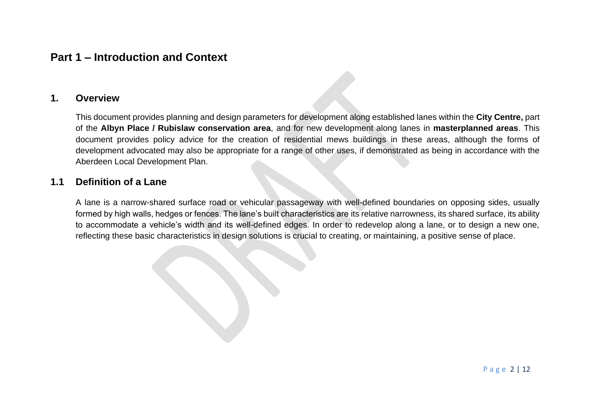# **Part 1 – Introduction and Context**

### **1. Overview**

This document provides planning and design parameters for development along established lanes within the **City Centre,** part of the **Albyn Place / Rubislaw conservation area**, and for new development along lanes in **masterplanned areas**. This document provides policy advice for the creation of residential mews buildings in these areas, although the forms of development advocated may also be appropriate for a range of other uses, if demonstrated as being in accordance with the Aberdeen Local Development Plan.

### **1.1 Definition of a Lane**

A lane is a narrow-shared surface road or vehicular passageway with well-defined boundaries on opposing sides, usually formed by high walls, hedges or fences. The lane's built characteristics are its relative narrowness, its shared surface, its ability to accommodate a vehicle's width and its well-defined edges. In order to redevelop along a lane, or to design a new one, reflecting these basic characteristics in design solutions is crucial to creating, or maintaining, a positive sense of place.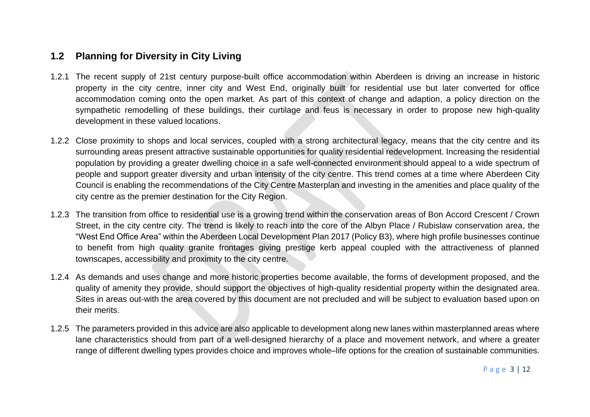## **1.2 Planning for Diversity in City Living**

- 1.2.1 The recent supply of 21st century purpose-built office accommodation within Aberdeen is driving an increase in historic property in the city centre, inner city and West End, originally built for residential use but later converted for office accommodation coming onto the open market. As part of this context of change and adaption, a policy direction on the sympathetic remodelling of these buildings, their curtilage and feus is necessary in order to propose new high-quality development in these valued locations.
- 1.2.2 Close proximity to shops and local services, coupled with a strong architectural legacy, means that the city centre and its surrounding areas present attractive sustainable opportunities for quality residential redevelopment. Increasing the residential population by providing a greater dwelling choice in a safe well-connected environment should appeal to a wide spectrum of people and support greater diversity and urban intensity of the city centre. This trend comes at a time where Aberdeen City Council is enabling the recommendations of the City Centre Masterplan and investing in the amenities and place quality of the city centre as the premier destination for the City Region.
- 1.2.3 The transition from office to residential use is a growing trend within the conservation areas of Bon Accord Crescent / Crown Street, in the city centre city. The trend is likely to reach into the core of the Albyn Place / Rubislaw conservation area, the "West End Office Area" within the Aberdeen Local Development Plan 2017 (Policy B3), where high profile businesses continue to benefit from high quality granite frontages giving prestige kerb appeal coupled with the attractiveness of planned townscapes, accessibility and proximity to the city centre.
- 1.2.4 As demands and uses change and more historic properties become available, the forms of development proposed, and the quality of amenity they provide, should support the objectives of high-quality residential property within the designated area. Sites in areas out-with the area covered by this document are not precluded and will be subject to evaluation based upon on their merits.
- 1.2.5 The parameters provided in this advice are also applicable to development along new lanes within masterplanned areas where lane characteristics should from part of a well-designed hierarchy of a place and movement network, and where a greater range of different dwelling types provides choice and improves whole–life options for the creation of sustainable communities.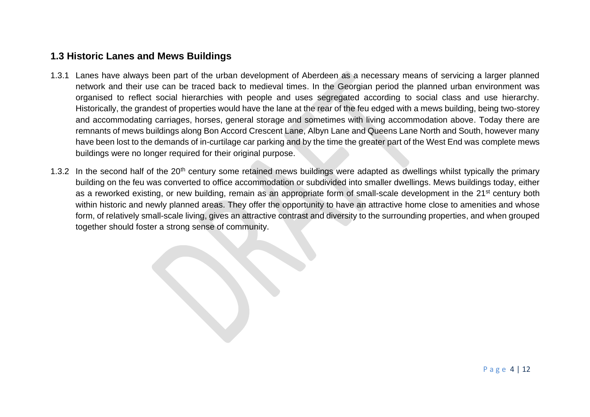## **1.3 Historic Lanes and Mews Buildings**

- 1.3.1 Lanes have always been part of the urban development of Aberdeen as a necessary means of servicing a larger planned network and their use can be traced back to medieval times. In the Georgian period the planned urban environment was organised to reflect social hierarchies with people and uses segregated according to social class and use hierarchy. Historically, the grandest of properties would have the lane at the rear of the feu edged with a mews building, being two-storey and accommodating carriages, horses, general storage and sometimes with living accommodation above. Today there are remnants of mews buildings along Bon Accord Crescent Lane, Albyn Lane and Queens Lane North and South, however many have been lost to the demands of in-curtilage car parking and by the time the greater part of the West End was complete mews buildings were no longer required for their original purpose.
- 1.3.2 In the second half of the 20<sup>th</sup> century some retained mews buildings were adapted as dwellings whilst typically the primary building on the feu was converted to office accommodation or subdivided into smaller dwellings. Mews buildings today, either as a reworked existing, or new building, remain as an appropriate form of small-scale development in the 21<sup>st</sup> century both within historic and newly planned areas. They offer the opportunity to have an attractive home close to amenities and whose form, of relatively small-scale living, gives an attractive contrast and diversity to the surrounding properties, and when grouped together should foster a strong sense of community.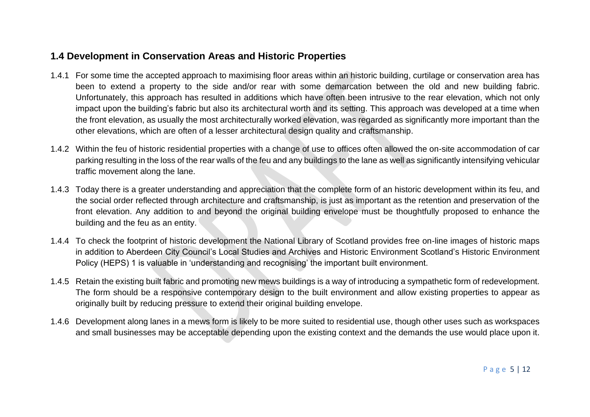## **1.4 Development in Conservation Areas and Historic Properties**

- 1.4.1 For some time the accepted approach to maximising floor areas within an historic building, curtilage or conservation area has been to extend a property to the side and/or rear with some demarcation between the old and new building fabric. Unfortunately, this approach has resulted in additions which have often been intrusive to the rear elevation, which not only impact upon the building's fabric but also its architectural worth and its setting. This approach was developed at a time when the front elevation, as usually the most architecturally worked elevation, was regarded as significantly more important than the other elevations, which are often of a lesser architectural design quality and craftsmanship.
- 1.4.2 Within the feu of historic residential properties with a change of use to offices often allowed the on-site accommodation of car parking resulting in the loss of the rear walls of the feu and any buildings to the lane as well as significantly intensifying vehicular traffic movement along the lane.
- 1.4.3 Today there is a greater understanding and appreciation that the complete form of an historic development within its feu, and the social order reflected through architecture and craftsmanship, is just as important as the retention and preservation of the front elevation. Any addition to and beyond the original building envelope must be thoughtfully proposed to enhance the building and the feu as an entity.
- 1.4.4 To check the footprint of historic development the National Library of Scotland provides free on-line images of historic maps in addition to Aberdeen City Council's Local Studies and Archives and Historic Environment Scotland's Historic Environment Policy (HEPS) 1 is valuable in 'understanding and recognising' the important built environment.
- 1.4.5 Retain the existing built fabric and promoting new mews buildings is a way of introducing a sympathetic form of redevelopment. The form should be a responsive contemporary design to the built environment and allow existing properties to appear as originally built by reducing pressure to extend their original building envelope.
- 1.4.6 Development along lanes in a mews form is likely to be more suited to residential use, though other uses such as workspaces and small businesses may be acceptable depending upon the existing context and the demands the use would place upon it.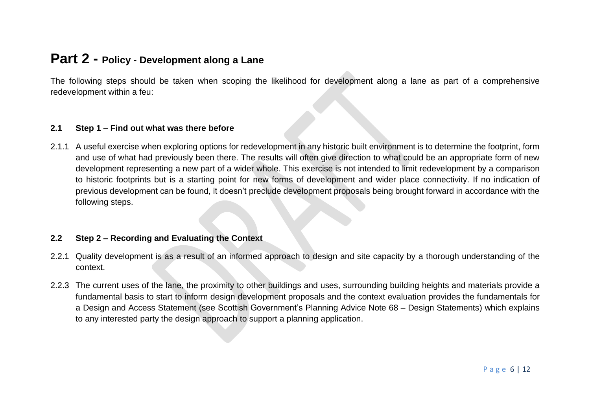# **Part 2 - Policy - Development along a Lane**

The following steps should be taken when scoping the likelihood for development along a lane as part of a comprehensive redevelopment within a feu:

#### **2.1 Step 1 – Find out what was there before**

2.1.1 A useful exercise when exploring options for redevelopment in any historic built environment is to determine the footprint, form and use of what had previously been there. The results will often give direction to what could be an appropriate form of new development representing a new part of a wider whole. This exercise is not intended to limit redevelopment by a comparison to historic footprints but is a starting point for new forms of development and wider place connectivity. If no indication of previous development can be found, it doesn't preclude development proposals being brought forward in accordance with the following steps.

#### **2.2 Step 2 – Recording and Evaluating the Context**

- 2.2.1 Quality development is as a result of an informed approach to design and site capacity by a thorough understanding of the context.
- 2.2.3 The current uses of the lane, the proximity to other buildings and uses, surrounding building heights and materials provide a fundamental basis to start to inform design development proposals and the context evaluation provides the fundamentals for a Design and Access Statement (see Scottish Government's Planning Advice Note 68 – Design Statements) which explains to any interested party the design approach to support a planning application.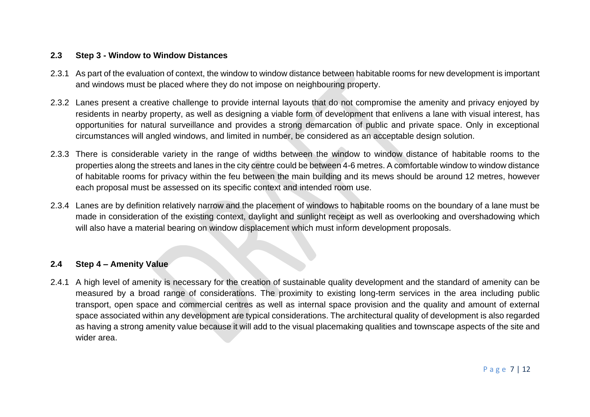#### **2.3 Step 3 - Window to Window Distances**

- 2.3.1 As part of the evaluation of context, the window to window distance between habitable rooms for new development is important and windows must be placed where they do not impose on neighbouring property.
- 2.3.2 Lanes present a creative challenge to provide internal layouts that do not compromise the amenity and privacy enjoyed by residents in nearby property, as well as designing a viable form of development that enlivens a lane with visual interest, has opportunities for natural surveillance and provides a strong demarcation of public and private space. Only in exceptional circumstances will angled windows, and limited in number, be considered as an acceptable design solution.
- 2.3.3 There is considerable variety in the range of widths between the window to window distance of habitable rooms to the properties along the streets and lanes in the city centre could be between 4-6 metres. A comfortable window to window distance of habitable rooms for privacy within the feu between the main building and its mews should be around 12 metres, however each proposal must be assessed on its specific context and intended room use.
- 2.3.4 Lanes are by definition relatively narrow and the placement of windows to habitable rooms on the boundary of a lane must be made in consideration of the existing context, daylight and sunlight receipt as well as overlooking and overshadowing which will also have a material bearing on window displacement which must inform development proposals.

#### **2.4 Step 4 – Amenity Value**

2.4.1 A high level of amenity is necessary for the creation of sustainable quality development and the standard of amenity can be measured by a broad range of considerations. The proximity to existing long-term services in the area including public transport, open space and commercial centres as well as internal space provision and the quality and amount of external space associated within any development are typical considerations. The architectural quality of development is also regarded as having a strong amenity value because it will add to the visual placemaking qualities and townscape aspects of the site and wider area.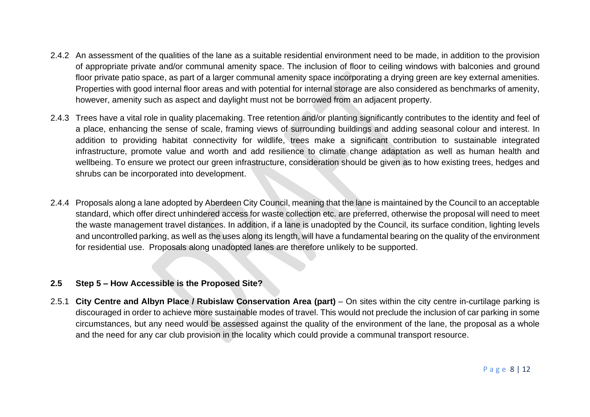- 2.4.2 An assessment of the qualities of the lane as a suitable residential environment need to be made, in addition to the provision of appropriate private and/or communal amenity space. The inclusion of floor to ceiling windows with balconies and ground floor private patio space, as part of a larger communal amenity space incorporating a drying green are key external amenities. Properties with good internal floor areas and with potential for internal storage are also considered as benchmarks of amenity, however, amenity such as aspect and daylight must not be borrowed from an adjacent property.
- 2.4.3 Trees have a vital role in quality placemaking. Tree retention and/or planting significantly contributes to the identity and feel of a place, enhancing the sense of scale, framing views of surrounding buildings and adding seasonal colour and interest. In addition to providing habitat connectivity for wildlife, trees make a significant contribution to sustainable integrated infrastructure, promote value and worth and add resilience to climate change adaptation as well as human health and wellbeing. To ensure we protect our green infrastructure, consideration should be given as to how existing trees, hedges and shrubs can be incorporated into development.
- 2.4.4 Proposals along a lane adopted by Aberdeen City Council, meaning that the lane is maintained by the Council to an acceptable standard, which offer direct unhindered access for waste collection etc. are preferred, otherwise the proposal will need to meet the waste management travel distances. In addition, if a lane is unadopted by the Council, its surface condition, lighting levels and uncontrolled parking, as well as the uses along its length, will have a fundamental bearing on the quality of the environment for residential use. Proposals along unadopted lanes are therefore unlikely to be supported.

### **2.5 Step 5 – How Accessible is the Proposed Site?**

2.5.1 **City Centre and Albyn Place / Rubislaw Conservation Area (part)** – On sites within the city centre in-curtilage parking is discouraged in order to achieve more sustainable modes of travel. This would not preclude the inclusion of car parking in some circumstances, but any need would be assessed against the quality of the environment of the lane, the proposal as a whole and the need for any car club provision in the locality which could provide a communal transport resource.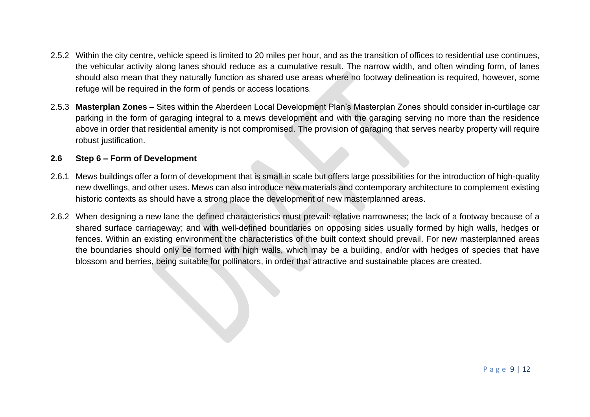- 2.5.2 Within the city centre, vehicle speed is limited to 20 miles per hour, and as the transition of offices to residential use continues, the vehicular activity along lanes should reduce as a cumulative result. The narrow width, and often winding form, of lanes should also mean that they naturally function as shared use areas where no footway delineation is required, however, some refuge will be required in the form of pends or access locations.
- 2.5.3 **Masterplan Zones** Sites within the Aberdeen Local Development Plan's Masterplan Zones should consider in-curtilage car parking in the form of garaging integral to a mews development and with the garaging serving no more than the residence above in order that residential amenity is not compromised. The provision of garaging that serves nearby property will require robust justification.

#### **2.6 Step 6 – Form of Development**

- 2.6.1 Mews buildings offer a form of development that is small in scale but offers large possibilities for the introduction of high-quality new dwellings, and other uses. Mews can also introduce new materials and contemporary architecture to complement existing historic contexts as should have a strong place the development of new masterplanned areas.
- 2.6.2 When designing a new lane the defined characteristics must prevail: relative narrowness; the lack of a footway because of a shared surface carriageway; and with well-defined boundaries on opposing sides usually formed by high walls, hedges or fences. Within an existing environment the characteristics of the built context should prevail. For new masterplanned areas the boundaries should only be formed with high walls, which may be a building, and/or with hedges of species that have blossom and berries, being suitable for pollinators, in order that attractive and sustainable places are created.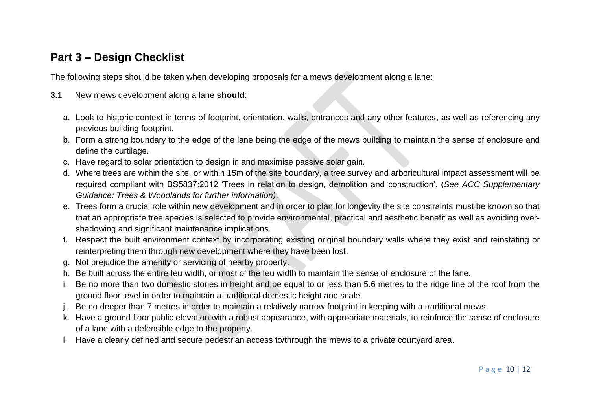# **Part 3 – Design Checklist**

The following steps should be taken when developing proposals for a mews development along a lane:

- 3.1 New mews development along a lane **should**:
	- a. Look to historic context in terms of footprint, orientation, walls, entrances and any other features, as well as referencing any previous building footprint.
	- b. Form a strong boundary to the edge of the lane being the edge of the mews building to maintain the sense of enclosure and define the curtilage.
	- c. Have regard to solar orientation to design in and maximise passive solar gain.
	- d. Where trees are within the site, or within 15m of the site boundary, a tree survey and arboricultural impact assessment will be required compliant with BS5837:2012 'Trees in relation to design, demolition and construction'. (*See ACC Supplementary Guidance: Trees & Woodlands for further information)*.
	- e. Trees form a crucial role within new development and in order to plan for longevity the site constraints must be known so that that an appropriate tree species is selected to provide environmental, practical and aesthetic benefit as well as avoiding overshadowing and significant maintenance implications.
	- f. Respect the built environment context by incorporating existing original boundary walls where they exist and reinstating or reinterpreting them through new development where they have been lost.
	- g. Not prejudice the amenity or servicing of nearby property.
	- h. Be built across the entire feu width, or most of the feu width to maintain the sense of enclosure of the lane.
	- i. Be no more than two domestic stories in height and be equal to or less than 5.6 metres to the ridge line of the roof from the ground floor level in order to maintain a traditional domestic height and scale.
	- j. Be no deeper than 7 metres in order to maintain a relatively narrow footprint in keeping with a traditional mews.
	- k. Have a ground floor public elevation with a robust appearance, with appropriate materials, to reinforce the sense of enclosure of a lane with a defensible edge to the property.
	- l. Have a clearly defined and secure pedestrian access to/through the mews to a private courtyard area.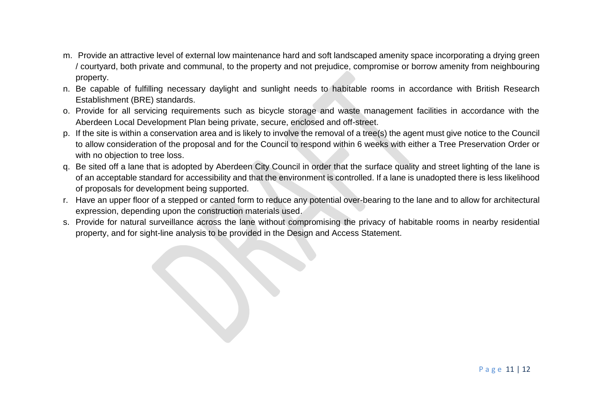- m. Provide an attractive level of external low maintenance hard and soft landscaped amenity space incorporating a drying green / courtyard, both private and communal, to the property and not prejudice, compromise or borrow amenity from neighbouring property.
- n. Be capable of fulfilling necessary daylight and sunlight needs to habitable rooms in accordance with British Research Establishment (BRE) standards.
- o. Provide for all servicing requirements such as bicycle storage and waste management facilities in accordance with the Aberdeen Local Development Plan being private, secure, enclosed and off-street.
- p. If the site is within a conservation area and is likely to involve the removal of a tree(s) the agent must give notice to the Council to allow consideration of the proposal and for the Council to respond within 6 weeks with either a Tree Preservation Order or with no objection to tree loss.
- q. Be sited off a lane that is adopted by Aberdeen City Council in order that the surface quality and street lighting of the lane is of an acceptable standard for accessibility and that the environment is controlled. If a lane is unadopted there is less likelihood of proposals for development being supported.
- r. Have an upper floor of a stepped or canted form to reduce any potential over-bearing to the lane and to allow for architectural expression, depending upon the construction materials used.
- s. Provide for natural surveillance across the lane without compromising the privacy of habitable rooms in nearby residential property, and for sight-line analysis to be provided in the Design and Access Statement.